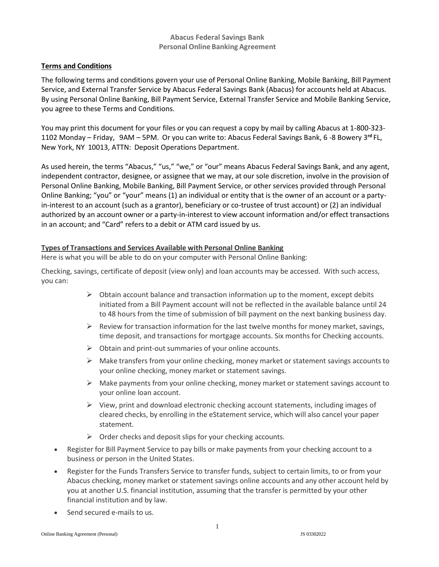### **Abacus Federal Savings Bank Personal Online Banking Agreement**

### **Terms and Conditions**

The following terms and conditions govern your use of Personal Online Banking, Mobile Banking, Bill Payment Service, and External Transfer Service by Abacus Federal Savings Bank (Abacus) for accounts held at Abacus. By using Personal Online Banking, Bill Payment Service, External Transfer Service and Mobile Banking Service, you agree to these Terms and Conditions.

You may print this document for your files or you can request a copy by mail by calling Abacus at 1-800-323- 1102 Monday – Friday, 9AM – 5PM. Or you can write to: Abacus Federal Savings Bank, 6 -8 Bowery 3**rd** FL, New York, NY 10013, ATTN: Deposit Operations Department.

As used herein, the terms "Abacus," "us," "we," or "our" means Abacus Federal Savings Bank, and any agent, independent contractor, designee, or assignee that we may, at our sole discretion, involve in the provision of Personal Online Banking, Mobile Banking, Bill Payment Service, or other services provided through Personal Online Banking; "you" or "your" means (1) an individual or entity that is the owner of an account or a partyin-interest to an account (such as a grantor), beneficiary or co-trustee of trust account) or (2) an individual authorized by an account owner or a party-in-interest to view account information and/or effect transactions in an account; and "Card" refers to a debit or ATM card issued by us.

#### **Types of Transactions and Services Available with Personal Online Banking**

Here is what you will be able to do on your computer with Personal Online Banking:

Checking, savings, certificate of deposit (view only) and loan accounts may be accessed. With such access, you can:

- $\triangleright$  Obtain account balance and transaction information up to the moment, except debits initiated from a Bill Payment account will not be reflected in the available balance until 24 to 48 hours from the time of submission of bill payment on the next banking business day.
- $\triangleright$  Review for transaction information for the last twelve months for money market, savings, time deposit, and transactions for mortgage accounts. Six months for Checking accounts.
- $\triangleright$  Obtain and print-out summaries of your online accounts.
- $\triangleright$  Make transfers from your online checking, money market or statement savings accounts to your online checking, money market or statement savings.
- $\triangleright$  Make payments from your online checking, money market or statement savings account to your online loan account.
- $\triangleright$  View, print and download electronic checking account statements, including images of cleared checks, by enrolling in the eStatement service, which will also cancel your paper statement.
- $\triangleright$  Order checks and deposit slips for your checking accounts.
- Register for Bill Payment Service to pay bills or make payments from your checking account to a business or person in the United States.
- Register for the Funds Transfers Service to transfer funds, subject to certain limits, to or from your Abacus checking, money market or statement savings online accounts and any other account held by you at another U.S. financial institution, assuming that the transfer is permitted by your other financial institution and by law.
- Send secured e-mails to us.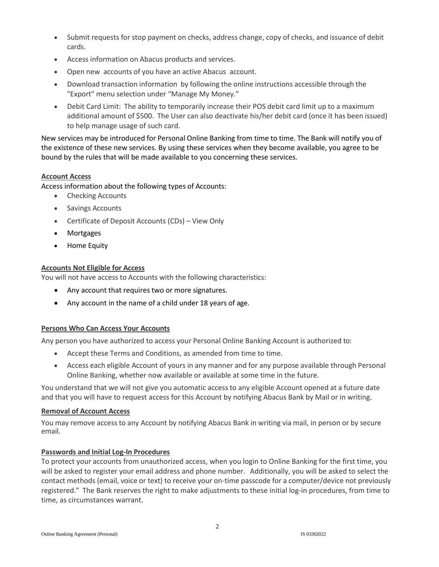- Submit requests for stop payment on checks, address change, copy of checks, and issuance of debit cards.
- Access information on Abacus products and services.
- Open new accounts of you have an active Abacus account.
- Download transaction information by following the online instructions accessible through the "Export" menu selection under "Manage My Money."
- Debit Card Limit: The ability to temporarily increase their POS debit card limit up to a maximum additional amount of \$500. The User can also deactivate his/her debit card (once it has been issued) to help manage usage of such card.

New services may be introduced for Personal Online Banking from time to time. The Bank will notify you of the existence of these new services. By using these services when they become available, you agree to be bound by the rules that will be made available to you concerning these services.

## **Account Access**

Access information about the following types of Accounts:

- Checking Accounts
- Savings Accounts
- Certificate of Deposit Accounts (CDs) View Only
- Mortgages
- Home Equity

## **Accounts Not Eligible for Access**

You will not have access to Accounts with the following characteristics:

- Any account that requires two or more signatures.
- Any account in the name of a child under 18 years of age.

### **Persons Who Can Access Your Accounts**

Any person you have authorized to access your Personal Online Banking Account is authorized to:

- Accept these Terms and Conditions, as amended from time to time.
- Access each eligible Account of yours in any manner and for any purpose available through Personal Online Banking, whether now available or available at some time in the future.

You understand that we will not give you automatic access to any eligible Account opened at a future date and that you will have to request access for this Account by notifying Abacus Bank by Mail or in writing.

### **Removal of Account Access**

You may remove access to any Account by notifying Abacus Bank in writing via mail, in person or by secure email.

### **Passwords and Initial Log-In Procedures**

To protect your accounts from unauthorized access, when you login to Online Banking for the first time, you will be asked to register your email address and phone number. Additionally, you will be asked to select the contact methods (email, voice or text) to receive your on-time passcode for a computer/device not previously registered." The Bank reserves the right to make adjustments to these initial log-in procedures, from time to time, as circumstances warrant.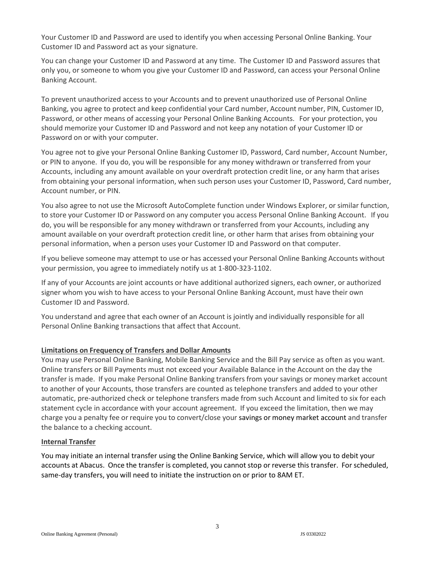Your Customer ID and Password are used to identify you when accessing Personal Online Banking. Your Customer ID and Password act as your signature.

You can change your Customer ID and Password at any time. The Customer ID and Password assures that only you, or someone to whom you give your Customer ID and Password, can access your Personal Online Banking Account.

To prevent unauthorized access to your Accounts and to prevent unauthorized use of Personal Online Banking, you agree to protect and keep confidential your Card number, Account number, PIN, Customer ID, Password, or other means of accessing your Personal Online Banking Accounts. For your protection, you should memorize your Customer ID and Password and not keep any notation of your Customer ID or Password on or with your computer.

You agree not to give your Personal Online Banking Customer ID, Password, Card number, Account Number, or PIN to anyone. If you do, you will be responsible for any money withdrawn or transferred from your Accounts, including any amount available on your overdraft protection credit line, or any harm that arises from obtaining your personal information, when such person uses your Customer ID, Password, Card number, Account number, or PIN.

You also agree to not use the Microsoft AutoComplete function under Windows Explorer, or similar function, to store your Customer ID or Password on any computer you access Personal Online Banking Account. If you do, you will be responsible for any money withdrawn or transferred from your Accounts, including any amount available on your overdraft protection credit line, or other harm that arises from obtaining your personal information, when a person uses your Customer ID and Password on that computer.

If you believe someone may attempt to use or has accessed your Personal Online Banking Accounts without your permission, you agree to immediately notify us at 1-800-323-1102.

If any of your Accounts are joint accounts or have additional authorized signers, each owner, or authorized signer whom you wish to have access to your Personal Online Banking Account, must have their own Customer ID and Password.

You understand and agree that each owner of an Account is jointly and individually responsible for all Personal Online Banking transactions that affect that Account.

### **Limitations on Frequency of Transfers and Dollar Amounts**

You may use Personal Online Banking, Mobile Banking Service and the Bill Pay service as often as you want. Online transfers or Bill Payments must not exceed your Available Balance in the Account on the day the transfer is made. If you make Personal Online Banking transfers from your savings or money market account to another of your Accounts, those transfers are counted as telephone transfers and added to your other automatic, pre-authorized check or telephone transfers made from such Account and limited to six for each statement cycle in accordance with your account agreement. If you exceed the limitation, then we may charge you a penalty fee or require you to convert/close your savings or money market account and transfer the balance to a checking account.

#### **Internal Transfer**

You may initiate an internal transfer using the Online Banking Service, which will allow you to debit your accounts at Abacus. Once the transfer is completed, you cannot stop or reverse this transfer. For scheduled, same-day transfers, you will need to initiate the instruction on or prior to 8AM ET.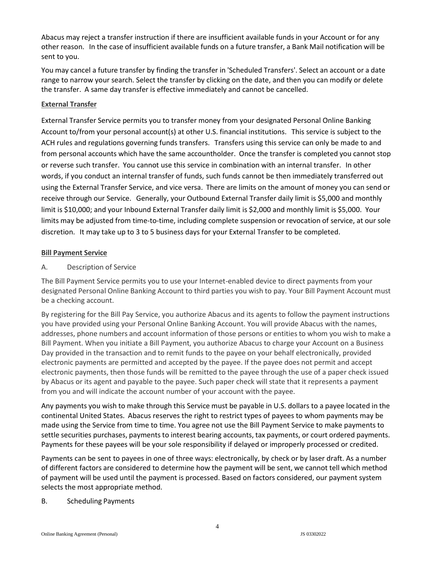Abacus may reject a transfer instruction if there are insufficient available funds in your Account or for any other reason. In the case of insufficient available funds on a future transfer, a Bank Mail notification will be sent to you.

You may cancel a future transfer by finding the transfer in 'Scheduled Transfers'. Select an account or a date range to narrow your search. Select the transfer by clicking on the date, and then you can modify or delete the transfer. A same day transfer is effective immediately and cannot be cancelled.

### **External Transfer**

External Transfer Service permits you to transfer money from your designated Personal Online Banking Account to/from your personal account(s) at other U.S. financial institutions. This service is subject to the ACH rules and regulations governing funds transfers. Transfers using this service can only be made to and from personal accounts which have the same accountholder. Once the transfer is completed you cannot stop or reverse such transfer. You cannot use this service in combination with an internal transfer. In other words, if you conduct an internal transfer of funds, such funds cannot be then immediately transferred out using the External Transfer Service, and vice versa. There are limits on the amount of money you can send or receive through our Service. Generally, your Outbound External Transfer daily limit is \$5,000 and monthly limit is \$10,000; and your Inbound External Transfer daily limit is \$2,000 and monthly limit is \$5,000. Your limits may be adjusted from time-to-time, including complete suspension or revocation of service, at our sole discretion. It may take up to 3 to 5 business days for your External Transfer to be completed.

### **Bill Payment Service**

## A. Description of Service

The Bill Payment Service permits you to use your Internet-enabled device to direct payments from your designated Personal Online Banking Account to third parties you wish to pay. Your Bill Payment Account must be a checking account.

By registering for the Bill Pay Service, you authorize Abacus and its agents to follow the payment instructions you have provided using your Personal Online Banking Account. You will provide Abacus with the names, addresses, phone numbers and account information of those persons or entities to whom you wish to make a Bill Payment. When you initiate a Bill Payment, you authorize Abacus to charge your Account on a Business Day provided in the transaction and to remit funds to the payee on your behalf electronically, provided electronic payments are permitted and accepted by the payee. If the payee does not permit and accept electronic payments, then those funds will be remitted to the payee through the use of a paper check issued by Abacus or its agent and payable to the payee. Such paper check will state that it represents a payment from you and will indicate the account number of your account with the payee.

Any payments you wish to make through this Service must be payable in U.S. dollars to a payee located in the continental United States. Abacus reserves the right to restrict types of payees to whom payments may be made using the Service from time to time. You agree not use the Bill Payment Service to make payments to settle securities purchases, payments to interest bearing accounts, tax payments, or court ordered payments. Payments for these payees will be your sole responsibility if delayed or improperly processed or credited.

Payments can be sent to payees in one of three ways: electronically, by check or by laser draft. As a number of different factors are considered to determine how the payment will be sent, we cannot tell which method of payment will be used until the payment is processed. Based on factors considered, our payment system selects the most appropriate method.

### B. Scheduling Payments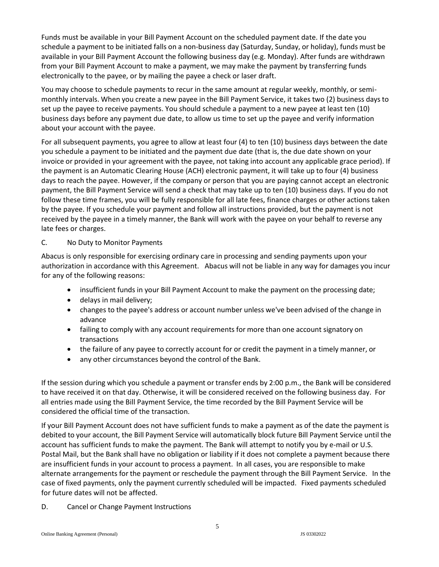Funds must be available in your Bill Payment Account on the scheduled payment date. If the date you schedule a payment to be initiated falls on a non-business day (Saturday, Sunday, or holiday), funds must be available in your Bill Payment Account the following business day (e.g. Monday). After funds are withdrawn from your Bill Payment Account to make a payment, we may make the payment by transferring funds electronically to the payee, or by mailing the payee a check or laser draft.

You may choose to schedule payments to recur in the same amount at regular weekly, monthly, or semimonthly intervals. When you create a new payee in the Bill Payment Service, it takes two (2) business daysto set up the payee to receive payments. You should schedule a payment to a new payee at least ten (10) business days before any payment due date, to allow us time to set up the payee and verify information about your account with the payee.

For all subsequent payments, you agree to allow at least four (4) to ten (10) business days between the date you schedule a payment to be initiated and the payment due date (that is, the due date shown on your invoice or provided in your agreement with the payee, not taking into account any applicable grace period). If the payment is an Automatic Clearing House (ACH) electronic payment, it will take up to four (4) business days to reach the payee. However, if the company or person that you are paying cannot accept an electronic payment, the Bill Payment Service will send a check that may take up to ten (10) business days. If you do not follow these time frames, you will be fully responsible for all late fees, finance charges or other actions taken by the payee. If you schedule your payment and follow all instructions provided, but the payment is not received by the payee in a timely manner, the Bank will work with the payee on your behalf to reverse any late fees or charges.

## C. No Duty to Monitor Payments

Abacus is only responsible for exercising ordinary care in processing and sending payments upon your authorization in accordance with this Agreement. Abacus will not be liable in any way for damages you incur for any of the following reasons:

- insufficient funds in your Bill Payment Account to make the payment on the processing date;
- delays in mail delivery;
- changes to the payee's address or account number unless we've been advised of the change in advance
- failing to comply with any account requirements for more than one account signatory on transactions
- the failure of any payee to correctly account for or credit the payment in a timely manner, or
- any other circumstances beyond the control of the Bank.

If the session during which you schedule a payment or transfer ends by 2:00 p.m., the Bank will be considered to have received it on that day. Otherwise, it will be considered received on the following business day. For all entries made using the Bill Payment Service, the time recorded by the Bill Payment Service will be considered the official time of the transaction.

If your Bill Payment Account does not have sufficient funds to make a payment as of the date the payment is debited to your account, the Bill Payment Service will automatically block future Bill Payment Service until the account has sufficient funds to make the payment. The Bank will attempt to notify you by e-mail or U.S. Postal Mail, but the Bank shall have no obligation or liability if it does not complete a payment because there are insufficient funds in your account to process a payment. In all cases, you are responsible to make alternate arrangements for the payment or reschedule the payment through the Bill Payment Service. In the case of fixed payments, only the payment currently scheduled will be impacted. Fixed payments scheduled for future dates will not be affected.

D. Cancel or Change Payment Instructions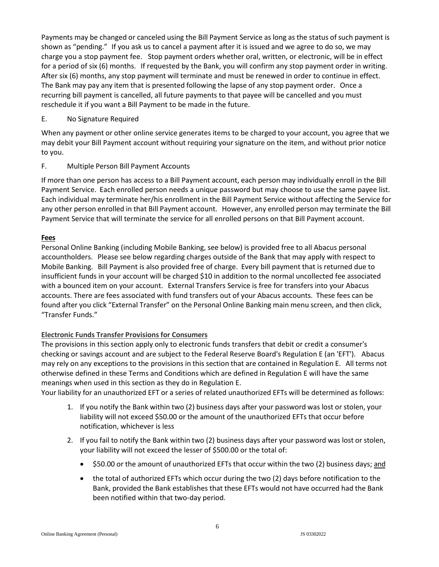Payments may be changed or canceled using the Bill Payment Service as long as the status of such payment is shown as "pending." If you ask us to cancel a payment after it is issued and we agree to do so, we may charge you a stop payment fee. Stop payment orders whether oral, written, or electronic, will be in effect for a period of six (6) months. If requested by the Bank, you will confirm any stop payment order in writing. After six (6) months, any stop payment will terminate and must be renewed in order to continue in effect. The Bank may pay any item that is presented following the lapse of any stop payment order. Once a recurring bill payment is cancelled, all future payments to that payee will be cancelled and you must reschedule it if you want a Bill Payment to be made in the future.

### E. No Signature Required

When any payment or other online service generates items to be charged to your account, you agree that we may debit your Bill Payment account without requiring your signature on the item, and without prior notice to you.

## F. Multiple Person Bill Payment Accounts

If more than one person has access to a Bill Payment account, each person may individually enroll in the Bill Payment Service. Each enrolled person needs a unique password but may choose to use the same payee list. Each individual may terminate her/his enrollment in the Bill Payment Service without affecting the Service for any other person enrolled in that Bill Payment account. However, any enrolled person may terminate the Bill Payment Service that will terminate the service for all enrolled persons on that Bill Payment account.

## **Fees**

Personal Online Banking (including Mobile Banking, see below) is provided free to all Abacus personal accountholders. Please see below regarding charges outside of the Bank that may apply with respect to Mobile Banking. Bill Payment is also provided free of charge. Every bill payment that is returned due to insufficient funds in your account will be charged \$10 in addition to the normal uncollected fee associated with a bounced item on your account. External Transfers Service is free for transfers into your Abacus accounts. There are fees associated with fund transfers out of your Abacus accounts. These fees can be found after you click "External Transfer" on the Personal Online Banking main menu screen, and then click, "Transfer Funds."

# **Electronic Funds Transfer Provisions for Consumers**

The provisions in this section apply only to electronic funds transfers that debit or credit a consumer's checking or savings account and are subject to the Federal Reserve Board's Regulation E (an 'EFT'). Abacus may rely on any exceptions to the provisions in this section that are contained in Regulation E. All terms not otherwise defined in these Terms and Conditions which are defined in Regulation E will have the same meanings when used in this section as they do in Regulation E.

Your liability for an unauthorized EFT or a series of related unauthorized EFTs will be determined as follows:

- 1. If you notify the Bank within two (2) business days after your password was lost or stolen, your liability will not exceed \$50.00 or the amount of the unauthorized EFTs that occur before notification, whichever is less
- 2. If you fail to notify the Bank within two (2) business days after your password was lost or stolen, your liability will not exceed the lesser of \$500.00 or the total of:
	- \$50.00 or the amount of unauthorized EFTs that occur within the two (2) business days; and
	- the total of authorized EFTs which occur during the two (2) days before notification to the Bank, provided the Bank establishes that these EFTs would not have occurred had the Bank been notified within that two-day period.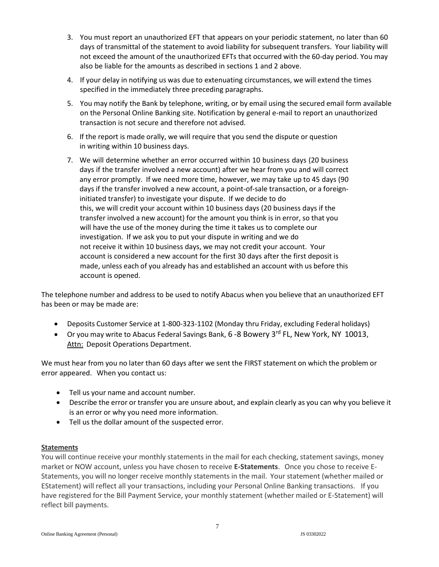- 3. You must report an unauthorized EFT that appears on your periodic statement, no later than 60 days of transmittal of the statement to avoid liability for subsequent transfers. Your liability will not exceed the amount of the unauthorized EFTs that occurred with the 60-day period. You may also be liable for the amounts as described in sections 1 and 2 above.
- 4. If your delay in notifying us was due to extenuating circumstances, we will extend the times specified in the immediately three preceding paragraphs.
- 5. You may notify the Bank by telephone, writing, or by email using the secured email form available on the Personal Online Banking site. Notification by general e-mail to report an unauthorized transaction is not secure and therefore not advised.
- 6. If the report is made orally, we will require that you send the dispute or question in writing within 10 business days.
- 7. We will determine whether an error occurred within 10 business days (20 business days if the transfer involved a new account) after we hear from you and will correct any error promptly. If we need more time, however, we may take up to 45 days (90 days if the transfer involved a new account, a point-of-sale transaction, or a foreigninitiated transfer) to investigate your dispute. If we decide to do this, we will credit your account within 10 business days (20 business days if the transfer involved a new account) for the amount you think is in error, so that you will have the use of the money during the time it takes us to complete our investigation. If we ask you to put your dispute in writing and we do not receive it within 10 business days, we may not credit your account. Your account is considered a new account for the first 30 days after the first deposit is made, unless each of you already has and established an account with us before this account is opened.

The telephone number and address to be used to notify Abacus when you believe that an unauthorized EFT has been or may be made are:

- Deposits Customer Service at 1-800-323-1102 (Monday thru Friday, excluding Federal holidays)
- Or you may write to Abacus Federal Savings Bank, 6 -8 Bowery 3<sup>rd</sup> FL, New York, NY 10013, Attn: Deposit Operations Department.

We must hear from you no later than 60 days after we sent the FIRST statement on which the problem or error appeared. When you contact us:

- Tell us your name and account number.
- Describe the error or transfer you are unsure about, and explain clearly as you can why you believe it is an error or why you need more information.
- Tell us the dollar amount of the suspected error.

### **Statements**

You will continue receive your monthly statements in the mail for each checking, statement savings, money market or NOW account, unless you have chosen to receive **E-Statements**. Once you chose to receive E-Statements, you will no longer receive monthly statements in the mail. Your statement (whether mailed or EStatement) will reflect all your transactions, including your Personal Online Banking transactions. If you have registered for the Bill Payment Service, your monthly statement (whether mailed or E-Statement) will reflect bill payments.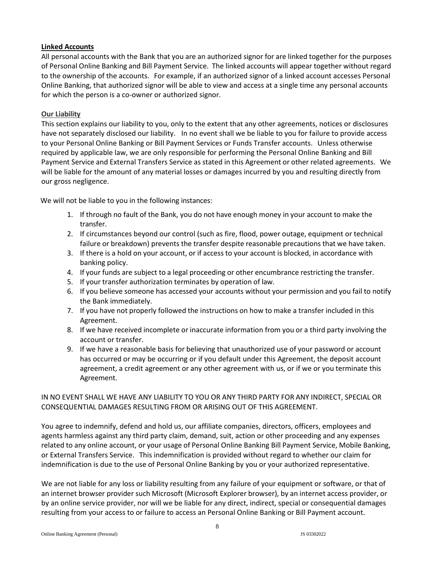### **Linked Accounts**

All personal accounts with the Bank that you are an authorized signor for are linked together for the purposes of Personal Online Banking and Bill Payment Service. The linked accounts will appear together without regard to the ownership of the accounts. For example, if an authorized signor of a linked account accesses Personal Online Banking, that authorized signor will be able to view and access at a single time any personal accounts for which the person is a co-owner or authorized signor.

## **Our Liability**

This section explains our liability to you, only to the extent that any other agreements, notices or disclosures have not separately disclosed our liability. In no event shall we be liable to you for failure to provide access to your Personal Online Banking or Bill Payment Services or Funds Transfer accounts. Unless otherwise required by applicable law, we are only responsible for performing the Personal Online Banking and Bill Payment Service and External Transfers Service as stated in this Agreement or other related agreements. We will be liable for the amount of any material losses or damages incurred by you and resulting directly from our gross negligence.

We will not be liable to you in the following instances:

- 1. If through no fault of the Bank, you do not have enough money in your account to make the transfer.
- 2. If circumstances beyond our control (such as fire, flood, power outage, equipment or technical failure or breakdown) prevents the transfer despite reasonable precautions that we have taken.
- 3. If there is a hold on your account, or if access to your account is blocked, in accordance with banking policy.
- 4. If your funds are subject to a legal proceeding or other encumbrance restricting the transfer.
- 5. If your transfer authorization terminates by operation of law.
- 6. If you believe someone has accessed your accounts without your permission and you fail to notify the Bank immediately.
- 7. If you have not properly followed the instructions on how to make a transfer included in this Agreement.
- 8. If we have received incomplete or inaccurate information from you or a third party involving the account or transfer.
- 9. If we have a reasonable basis for believing that unauthorized use of your password or account has occurred or may be occurring or if you default under this Agreement, the deposit account agreement, a credit agreement or any other agreement with us, or if we or you terminate this Agreement.

## IN NO EVENT SHALL WE HAVE ANY LIABILITY TO YOU OR ANY THIRD PARTY FOR ANY INDIRECT, SPECIAL OR CONSEQUENTIAL DAMAGES RESULTING FROM OR ARISING OUT OF THIS AGREEMENT.

You agree to indemnify, defend and hold us, our affiliate companies, directors, officers, employees and agents harmless against any third party claim, demand, suit, action or other proceeding and any expenses related to any online account, or your usage of Personal Online Banking Bill Payment Service, Mobile Banking, or External Transfers Service. This indemnification is provided without regard to whether our claim for indemnification is due to the use of Personal Online Banking by you or your authorized representative.

We are not liable for any loss or liability resulting from any failure of your equipment or software, or that of an internet browser provider such Microsoft (Microsoft Explorer browser), by an internet access provider, or by an online service provider, nor will we be liable for any direct, indirect, special or consequential damages resulting from your access to or failure to access an Personal Online Banking or Bill Payment account.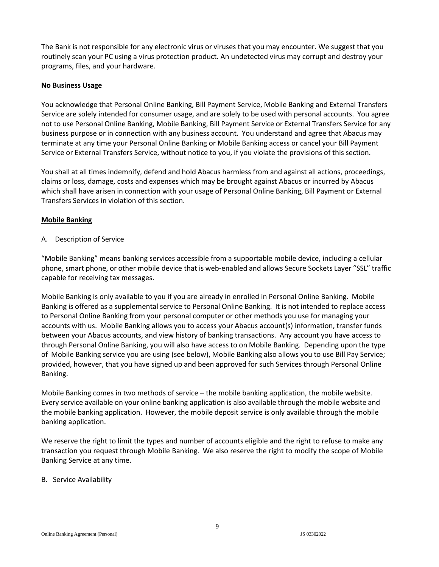The Bank is not responsible for any electronic virus or viruses that you may encounter. We suggest that you routinely scan your PC using a virus protection product. An undetected virus may corrupt and destroy your programs, files, and your hardware.

#### **No Business Usage**

You acknowledge that Personal Online Banking, Bill Payment Service, Mobile Banking and External Transfers Service are solely intended for consumer usage, and are solely to be used with personal accounts. You agree not to use Personal Online Banking, Mobile Banking, Bill Payment Service or External Transfers Service for any business purpose or in connection with any business account. You understand and agree that Abacus may terminate at any time your Personal Online Banking or Mobile Banking access or cancel your Bill Payment Service or External Transfers Service, without notice to you, if you violate the provisions of this section.

You shall at all times indemnify, defend and hold Abacus harmless from and against all actions, proceedings, claims or loss, damage, costs and expenses which may be brought against Abacus or incurred by Abacus which shall have arisen in connection with your usage of Personal Online Banking, Bill Payment or External Transfers Services in violation of this section.

#### **Mobile Banking**

#### A. Description of Service

"Mobile Banking" means banking services accessible from a supportable mobile device, including a cellular phone, smart phone, or other mobile device that is web-enabled and allows Secure Sockets Layer "SSL" traffic capable for receiving tax messages.

Mobile Banking is only available to you if you are already in enrolled in Personal Online Banking. Mobile Banking is offered as a supplemental service to Personal Online Banking. It is not intended to replace access to Personal Online Banking from your personal computer or other methods you use for managing your accounts with us. Mobile Banking allows you to access your Abacus account(s) information, transfer funds between your Abacus accounts, and view history of banking transactions. Any account you have access to through Personal Online Banking, you will also have access to on Mobile Banking. Depending upon the type of Mobile Banking service you are using (see below), Mobile Banking also allows you to use Bill Pay Service; provided, however, that you have signed up and been approved for such Services through Personal Online Banking.

Mobile Banking comes in two methods of service – the mobile banking application, the mobile website. Every service available on your online banking application is also available through the mobile website and the mobile banking application. However, the mobile deposit service is only available through the mobile banking application.

We reserve the right to limit the types and number of accounts eligible and the right to refuse to make any transaction you request through Mobile Banking. We also reserve the right to modify the scope of Mobile Banking Service at any time.

### B. Service Availability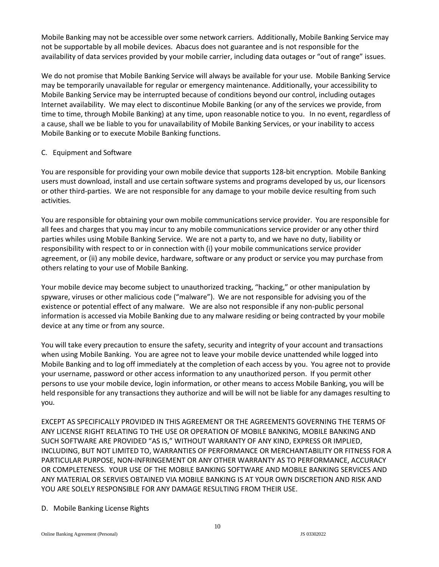Mobile Banking may not be accessible over some network carriers. Additionally, Mobile Banking Service may not be supportable by all mobile devices. Abacus does not guarantee and is not responsible for the availability of data services provided by your mobile carrier, including data outages or "out of range" issues.

We do not promise that Mobile Banking Service will always be available for your use. Mobile Banking Service may be temporarily unavailable for regular or emergency maintenance. Additionally, your accessibility to Mobile Banking Service may be interrupted because of conditions beyond our control, including outages Internet availability. We may elect to discontinue Mobile Banking (or any of the services we provide, from time to time, through Mobile Banking) at any time, upon reasonable notice to you. In no event, regardless of a cause, shall we be liable to you for unavailability of Mobile Banking Services, or your inability to access Mobile Banking or to execute Mobile Banking functions.

### C. Equipment and Software

You are responsible for providing your own mobile device that supports 128-bit encryption. Mobile Banking users must download, install and use certain software systems and programs developed by us, our licensors or other third-parties. We are not responsible for any damage to your mobile device resulting from such activities.

You are responsible for obtaining your own mobile communications service provider. You are responsible for all fees and charges that you may incur to any mobile communications service provider or any other third parties whiles using Mobile Banking Service. We are not a party to, and we have no duty, liability or responsibility with respect to or in connection with (i) your mobile communications service provider agreement, or (ii) any mobile device, hardware, software or any product or service you may purchase from others relating to your use of Mobile Banking.

Your mobile device may become subject to unauthorized tracking, "hacking," or other manipulation by spyware, viruses or other malicious code ("malware"). We are not responsible for advising you of the existence or potential effect of any malware. We are also not responsible if any non-public personal information is accessed via Mobile Banking due to any malware residing or being contracted by your mobile device at any time or from any source.

You will take every precaution to ensure the safety, security and integrity of your account and transactions when using Mobile Banking. You are agree not to leave your mobile device unattended while logged into Mobile Banking and to log off immediately at the completion of each access by you. You agree not to provide your username, password or other access information to any unauthorized person. If you permit other persons to use your mobile device, login information, or other means to access Mobile Banking, you will be held responsible for any transactions they authorize and will be will not be liable for any damages resulting to you.

EXCEPT AS SPECIFICALLY PROVIDED IN THIS AGREEMENT OR THE AGREEMENTS GOVERNING THE TERMS OF ANY LICENSE RIGHT RELATING TO THE USE OR OPERATION OF MOBILE BANKING, MOBILE BANKING AND SUCH SOFTWARE ARE PROVIDED "AS IS," WITHOUT WARRANTY OF ANY KIND, EXPRESS OR IMPLIED, INCLUDING, BUT NOT LIMITED TO, WARRANTIES OF PERFORMANCE OR MERCHANTABILITY OR FITNESS FOR A PARTICULAR PURPOSE, NON-INFRINGEMENT OR ANY OTHER WARRANTY AS TO PERFORMANCE, ACCURACY OR COMPLETENESS. YOUR USE OF THE MOBILE BANKING SOFTWARE AND MOBILE BANKING SERVICES AND ANY MATERIAL OR SERVIES OBTAINED VIA MOBILE BANKING IS AT YOUR OWN DISCRETION AND RISK AND YOU ARE SOLELY RESPONSIBLE FOR ANY DAMAGE RESULTING FROM THEIR USE.

### D. Mobile Banking License Rights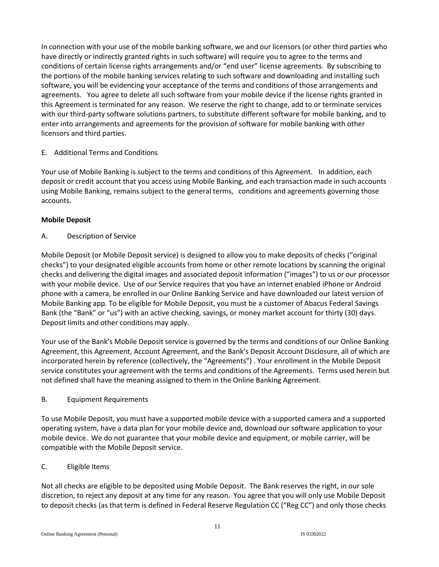In connection with your use of the mobile banking software, we and our licensors (or other third parties who have directly or indirectly granted rights in such software) will require you to agree to the terms and conditions of certain license rights arrangements and/or "end user" license agreements. By subscribing to the portions of the mobile banking services relating to such software and downloading and installing such software, you will be evidencing your acceptance of the terms and conditions of those arrangements and agreements. You agree to delete all such software from your mobile device if the license rights granted in this Agreement is terminated for any reason. We reserve the right to change, add to or terminate services with our third-party software solutions partners, to substitute different software for mobile banking, and to enter into arrangements and agreements for the provision of software for mobile banking with other licensors and third parties.

## E. Additional Terms and Conditions

Your use of Mobile Banking is subject to the terms and conditions of this Agreement. In addition, each deposit or credit account that you access using Mobile Banking, and each transaction made in such accounts using Mobile Banking, remains subject to the general terms, conditions and agreements governing those accounts.

## **Mobile Deposit**

A. Description of Service

Mobile Deposit (or Mobile Deposit service) is designed to allow you to make deposits of checks ("original checks") to your designated eligible accounts from home or other remote locations by scanning the original checks and delivering the digital images and associated deposit information ("images") to us or our processor with your mobile device. Use of our Service requires that you have an internet enabled iPhone or Android phone with a camera, be enrolled in our Online Banking Service and have downloaded our latest version of Mobile Banking app. To be eligible for Mobile Deposit, you must be a customer of Abacus Federal Savings Bank (the "Bank" or "us") with an active checking, savings, or money market account for thirty (30) days. Deposit limits and other conditions may apply.

Your use of the Bank's Mobile Deposit service is governed by the terms and conditions of our Online Banking Agreement, this Agreement, Account Agreement, and the Bank's Deposit Account Disclosure, all of which are incorporated herein by reference (collectively, the "Agreements") . Your enrollment in the Mobile Deposit service constitutes your agreement with the terms and conditions of the Agreements. Terms used herein but not defined shall have the meaning assigned to them in the Online Banking Agreement.

# B. Equipment Requirements

To use Mobile Deposit, you must have a supported mobile device with a supported camera and a supported operating system, have a data plan for your mobile device and, download our software application to your mobile device. We do not guarantee that your mobile device and equipment, or mobile carrier, will be compatible with the Mobile Deposit service.

# C. Eligible Items

Not all checks are eligible to be deposited using Mobile Deposit. The Bank reserves the right, in our sole discretion, to reject any deposit at any time for any reason. You agree that you will only use Mobile Deposit to deposit checks (as that term is defined in Federal Reserve Regulation CC ("Reg CC") and only those checks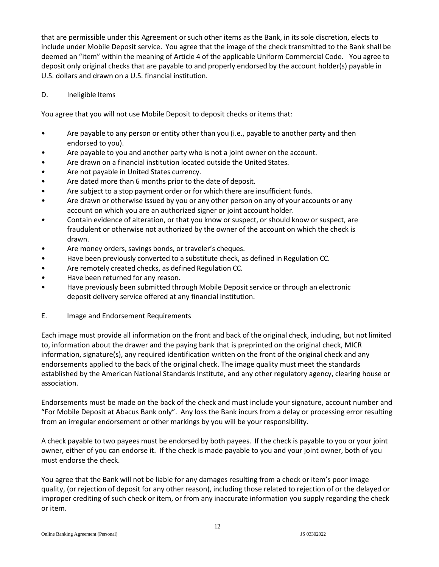that are permissible under this Agreement or such other items as the Bank, in its sole discretion, elects to include under Mobile Deposit service. You agree that the image of the check transmitted to the Bank shall be deemed an "item" within the meaning of Article 4 of the applicable Uniform Commercial Code. You agree to deposit only original checks that are payable to and properly endorsed by the account holder(s) payable in U.S. dollars and drawn on a U.S. financial institution.

### D. Ineligible Items

You agree that you will not use Mobile Deposit to deposit checks or items that:

- Are payable to any person or entity other than you (i.e., payable to another party and then endorsed to you).
- Are payable to you and another party who is not a joint owner on the account.
- Are drawn on a financial institution located outside the United States.
- Are not payable in United States currency.
- Are dated more than 6 months prior to the date of deposit.
- Are subject to a stop payment order or for which there are insufficient funds.
- Are drawn or otherwise issued by you or any other person on any of your accounts or any account on which you are an authorized signer or joint account holder.
- Contain evidence of alteration, or that you know or suspect, or should know or suspect, are fraudulent or otherwise not authorized by the owner of the account on which the check is drawn.
- Are money orders, savings bonds, or traveler's cheques.
- Have been previously converted to a substitute check, as defined in Regulation CC.
- Are remotely created checks, as defined Regulation CC.
- Have been returned for any reason.
- Have previously been submitted through Mobile Deposit service or through an electronic deposit delivery service offered at any financial institution.
- E. Image and Endorsement Requirements

Each image must provide all information on the front and back of the original check, including, but not limited to, information about the drawer and the paying bank that is preprinted on the original check, MICR information, signature(s), any required identification written on the front of the original check and any endorsements applied to the back of the original check. The image quality must meet the standards established by the American National Standards Institute, and any other regulatory agency, clearing house or association.

Endorsements must be made on the back of the check and must include your signature, account number and "For Mobile Deposit at Abacus Bank only". Any loss the Bank incurs from a delay or processing error resulting from an irregular endorsement or other markings by you will be your responsibility.

A check payable to two payees must be endorsed by both payees. If the check is payable to you or your joint owner, either of you can endorse it. If the check is made payable to you and your joint owner, both of you must endorse the check.

You agree that the Bank will not be liable for any damages resulting from a check or item's poor image quality, (or rejection of deposit for any other reason), including those related to rejection of or the delayed or improper crediting of such check or item, or from any inaccurate information you supply regarding the check or item.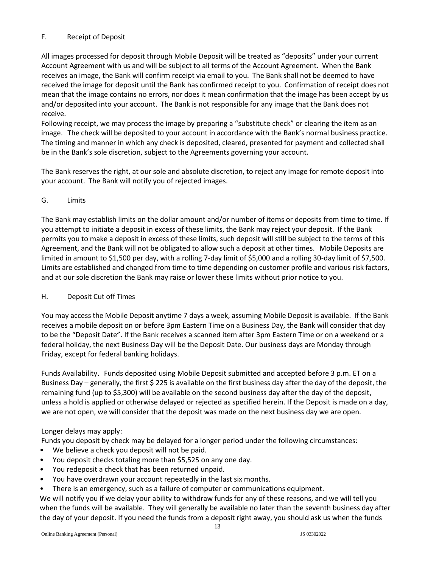## F. Receipt of Deposit

All images processed for deposit through Mobile Deposit will be treated as "deposits" under your current Account Agreement with us and will be subject to all terms of the Account Agreement. When the Bank receives an image, the Bank will confirm receipt via email to you. The Bank shall not be deemed to have received the image for deposit until the Bank has confirmed receipt to you. Confirmation of receipt does not mean that the image contains no errors, nor does it mean confirmation that the image has been accept by us and/or deposited into your account. The Bank is not responsible for any image that the Bank does not receive.

Following receipt, we may process the image by preparing a "substitute check" or clearing the item as an image. The check will be deposited to your account in accordance with the Bank's normal business practice. The timing and manner in which any check is deposited, cleared, presented for payment and collected shall be in the Bank's sole discretion, subject to the Agreements governing your account.

The Bank reserves the right, at our sole and absolute discretion, to reject any image for remote deposit into your account. The Bank will notify you of rejected images.

## G. Limits

The Bank may establish limits on the dollar amount and/or number of items or deposits from time to time. If you attempt to initiate a deposit in excess of these limits, the Bank may reject your deposit. If the Bank permits you to make a deposit in excess of these limits, such deposit will still be subject to the terms of this Agreement, and the Bank will not be obligated to allow such a deposit at other times. Mobile Deposits are limited in amount to \$1,500 per day, with a rolling 7-day limit of \$5,000 and a rolling 30-day limit of \$7,500. Limits are established and changed from time to time depending on customer profile and various risk factors, and at our sole discretion the Bank may raise or lower these limits without prior notice to you.

### H. Deposit Cut off Times

You may access the Mobile Deposit anytime 7 days a week, assuming Mobile Deposit is available. If the Bank receives a mobile deposit on or before 3pm Eastern Time on a Business Day, the Bank will consider that day to be the "Deposit Date". If the Bank receives a scanned item after 3pm Eastern Time or on a weekend or a federal holiday, the next Business Day will be the Deposit Date. Our business days are Monday through Friday, except for federal banking holidays.

Funds Availability. Funds deposited using Mobile Deposit submitted and accepted before 3 p.m. ET on a Business Day – generally, the first \$ 225 is available on the first business day after the day of the deposit, the remaining fund (up to \$5,300) will be available on the second business day after the day of the deposit, unless a hold is applied or otherwise delayed or rejected as specified herein. If the Deposit is made on a day, we are not open, we will consider that the deposit was made on the next business day we are open.

# Longer delays may apply:

Funds you deposit by check may be delayed for a longer period under the following circumstances:

- We believe a check you deposit will not be paid.
- You deposit checks totaling more than \$5,525 on any one day.
- You redeposit a check that has been returned unpaid.
- You have overdrawn your account repeatedly in the last six months.
- There is an emergency, such as a failure of computer or communications equipment.

We will notify you if we delay your ability to withdraw funds for any of these reasons, and we will tell you when the funds will be available. They will generally be available no later than the seventh business day after the day of your deposit. If you need the funds from a deposit right away, you should ask us when the funds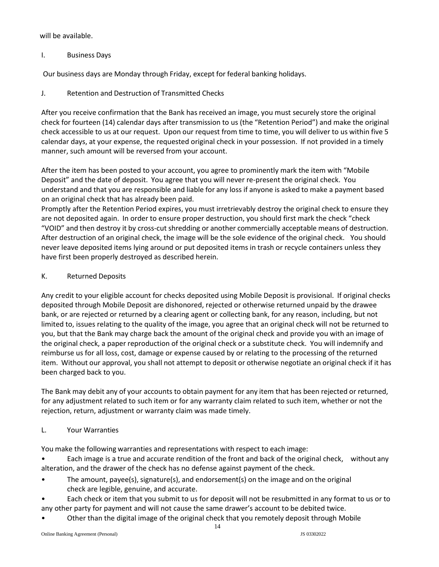will be available.

I. Business Days

Our business days are Monday through Friday, except for federal banking holidays.

J. Retention and Destruction of Transmitted Checks

After you receive confirmation that the Bank has received an image, you must securely store the original check for fourteen (14) calendar days after transmission to us (the "Retention Period") and make the original check accessible to us at our request. Upon our request from time to time, you will deliver to us within five 5 calendar days, at your expense, the requested original check in your possession. If not provided in a timely manner, such amount will be reversed from your account.

After the item has been posted to your account, you agree to prominently mark the item with "Mobile Deposit" and the date of deposit. You agree that you will never re-present the original check. You understand and that you are responsible and liable for any loss if anyone is asked to make a payment based on an original check that has already been paid.

Promptly after the Retention Period expires, you must irretrievably destroy the original check to ensure they are not deposited again. In order to ensure proper destruction, you should first mark the check "check "VOID" and then destroy it by cross-cut shredding or another commercially acceptable means of destruction. After destruction of an original check, the image will be the sole evidence of the original check. You should never leave deposited items lying around or put deposited items in trash or recycle containers unless they have first been properly destroyed as described herein.

## K. Returned Deposits

Any credit to your eligible account for checks deposited using Mobile Deposit is provisional. If original checks deposited through Mobile Deposit are dishonored, rejected or otherwise returned unpaid by the drawee bank, or are rejected or returned by a clearing agent or collecting bank, for any reason, including, but not limited to, issues relating to the quality of the image, you agree that an original check will not be returned to you, but that the Bank may charge back the amount of the original check and provide you with an image of the original check, a paper reproduction of the original check or a substitute check. You will indemnify and reimburse us for all loss, cost, damage or expense caused by or relating to the processing of the returned item. Without our approval, you shall not attempt to deposit or otherwise negotiate an original check if it has been charged back to you.

The Bank may debit any of your accounts to obtain payment for any item that has been rejected or returned, for any adjustment related to such item or for any warranty claim related to such item, whether or not the rejection, return, adjustment or warranty claim was made timely.

# L. Your Warranties

You make the following warranties and representations with respect to each image:

• Each image is a true and accurate rendition of the front and back of the original check, without any alteration, and the drawer of the check has no defense against payment of the check.

- The amount, payee(s), signature(s), and endorsement(s) on the image and on the original check are legible, genuine, and accurate.
- Each check or item that you submit to us for deposit will not be resubmitted in any format to us or to any other party for payment and will not cause the same drawer's account to be debited twice.
- Other than the digital image of the original check that you remotely deposit through Mobile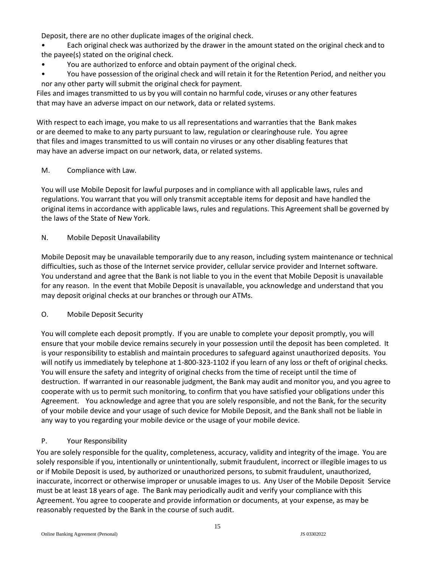Deposit, there are no other duplicate images of the original check.

• Each original check was authorized by the drawer in the amount stated on the original check and to the payee(s) stated on the original check.

- You are authorized to enforce and obtain payment of the original check.
- You have possession of the original check and will retain it for the Retention Period, and neither you nor any other party will submit the original check for payment.

Files and images transmitted to us by you will contain no harmful code, viruses or any other features that may have an adverse impact on our network, data or related systems.

With respect to each image, you make to us all representations and warranties that the Bank makes or are deemed to make to any party pursuant to law, regulation or clearinghouse rule. You agree that files and images transmitted to us will contain no viruses or any other disabling features that may have an adverse impact on our network, data, or related systems.

## M. Compliance with Law.

You will use Mobile Deposit for lawful purposes and in compliance with all applicable laws, rules and regulations. You warrant that you will only transmit acceptable items for deposit and have handled the original items in accordance with applicable laws, rules and regulations. This Agreement shall be governed by the laws of the State of New York.

## N. Mobile Deposit Unavailability

Mobile Deposit may be unavailable temporarily due to any reason, including system maintenance or technical difficulties, such as those of the Internet service provider, cellular service provider and Internet software. You understand and agree that the Bank is not liable to you in the event that Mobile Deposit is unavailable for any reason. In the event that Mobile Deposit is unavailable, you acknowledge and understand that you may deposit original checks at our branches or through our ATMs.

# O. Mobile Deposit Security

You will complete each deposit promptly. If you are unable to complete your deposit promptly, you will ensure that your mobile device remains securely in your possession until the deposit has been completed. It is your responsibility to establish and maintain procedures to safeguard against unauthorized deposits. You will notify us immediately by telephone at 1-800-323-1102 if you learn of any loss or theft of original checks. You will ensure the safety and integrity of original checks from the time of receipt until the time of destruction. If warranted in our reasonable judgment, the Bank may audit and monitor you, and you agree to cooperate with us to permit such monitoring, to confirm that you have satisfied your obligations under this Agreement. You acknowledge and agree that you are solely responsible, and not the Bank, for the security of your mobile device and your usage of such device for Mobile Deposit, and the Bank shall not be liable in any way to you regarding your mobile device or the usage of your mobile device.

# P. Your Responsibility

You are solely responsible for the quality, completeness, accuracy, validity and integrity of the image. You are solely responsible if you, intentionally or unintentionally, submit fraudulent, incorrect or illegible images to us or if Mobile Deposit is used, by authorized or unauthorized persons, to submit fraudulent, unauthorized, inaccurate, incorrect or otherwise improper or unusable images to us. Any User of the Mobile Deposit Service must be at least 18 years of age. The Bank may periodically audit and verify your compliance with this Agreement. You agree to cooperate and provide information or documents, at your expense, as may be reasonably requested by the Bank in the course of such audit.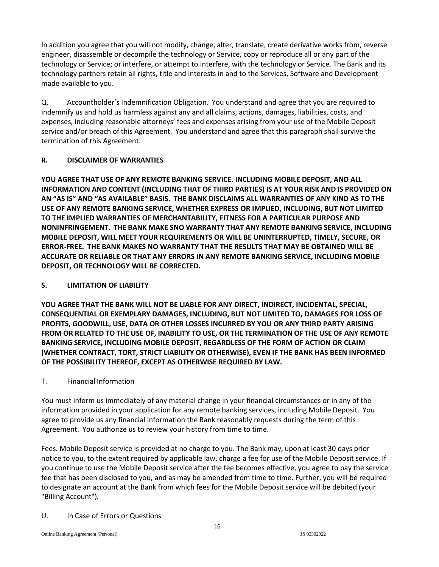In addition you agree that you will not modify, change, alter, translate, create derivative works from, reverse engineer, disassemble or decompile the technology or Service, copy or reproduce all or any part of the technology or Service; or interfere, or attempt to interfere, with the technology or Service. The Bank and its technology partners retain all rights, title and interests in and to the Services, Software and Development made available to you.

Q. Accountholder's Indemnification Obligation. You understand and agree that you are required to indemnify us and hold us harmless against any and all claims, actions, damages, liabilities, costs, and expenses, including reasonable attorneys' fees and expenses arising from your use of the Mobile Deposit service and/or breach of this Agreement. You understand and agree that this paragraph shall survive the termination of this Agreement.

# **R. DISCLAIMER OF WARRANTIES**

**YOU AGREE THAT USE OF ANY REMOTE BANKING SERVICE. INCLUDING MOBILE DEPOSIT, AND ALL INFORMATION AND CONTENT (INCLUDING THAT OF THIRD PARTIES) IS AT YOUR RISK AND IS PROVIDED ON AN "AS IS" AND "AS AVAILABLE" BASIS. THE BANK DISCLAIMS ALL WARRANTIES OF ANY KIND AS TO THE USE OF ANY REMOTE BANKING SERVICE, WHETHER EXPRESS OR IMPLIED, INCLUDING, BUT NOT LIMITED TO THE IMPLIED WARRANTIES OF MERCHANTABILITY, FITNESS FOR A PARTICULAR PURPOSE AND NONINFRINGEMENT. THE BANK MAKE SNO WARRANTY THAT ANY REMOTE BANKING SERVICE, INCLUDING MOBILE DEPOSIT, WILL MEET YOUR REQUIREMENTS OR WILL BE UNINTERRUPTED, TIMELY, SECURE, OR ERROR-FREE. THE BANK MAKES NO WARRANTY THAT THE RESULTS THAT MAY BE OBTAINED WILL BE ACCURATE OR RELIABLE OR THAT ANY ERRORS IN ANY REMOTE BANKING SERVICE, INCLUDING MOBILE DEPOSIT, OR TECHNOLOGY WILL BE CORRECTED.**

# **S. LIMITATION OF LIABILITY**

**YOU AGREE THAT THE BANK WILL NOT BE LIABLE FOR ANY DIRECT, INDIRECT, INCIDENTAL, SPECIAL, CONSEQUENTIAL OR EXEMPLARY DAMAGES, INCLUDING, BUT NOT LIMITED TO, DAMAGES FOR LOSS OF PROFITS, GOODWILL, USE, DATA OR OTHER LOSSES INCURRED BY YOU OR ANY THIRD PARTY ARISING FROM OR RELATED TO THE USE OF, INABILITY TO USE, OR THE TERMINATION OF THE USE OF ANY REMOTE BANKING SERVICE, INCLUDING MOBILE DEPOSIT, REGARDLESS OF THE FORM OF ACTION OR CLAIM (WHETHER CONTRACT, TORT, STRICT LIABILITY OR OTHERWISE), EVEN IF THE BANK HAS BEEN INFORMED OF THE POSSIBILITY THEREOF, EXCEPT AS OTHERWISE REQUIRED BY LAW.**

# T. Financial Information

You must inform us immediately of any material change in your financial circumstances or in any of the information provided in your application for any remote banking services, including Mobile Deposit. You agree to provide us any financial information the Bank reasonably requests during the term of this Agreement. You authorize us to review your history from time to time.

Fees. Mobile Deposit service is provided at no charge to you. The Bank may, upon at least 30 days prior notice to you, to the extent required by applicable law, charge a fee for use of the Mobile Deposit service. If you continue to use the Mobile Deposit service after the fee becomes effective, you agree to pay the service fee that has been disclosed to you, and as may be amended from time to time. Further, you will be required to designate an account at the Bank from which fees for the Mobile Deposit service will be debited (your "Billing Account").

U. In Case of Errors or Questions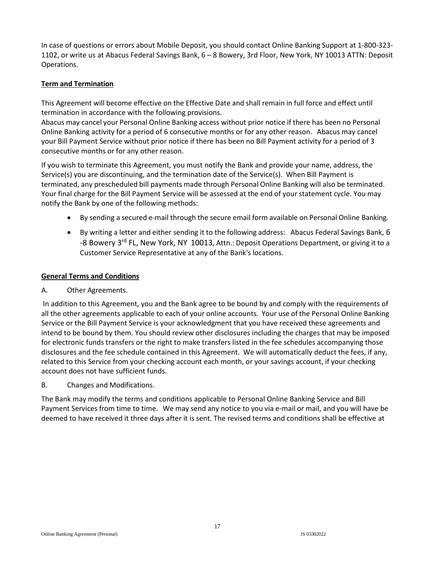In case of questions or errors about Mobile Deposit, you should contact Online Banking Support at 1-800-323- 1102, or write us at Abacus Federal Savings Bank, 6 – 8 Bowery, 3rd Floor, New York, NY 10013 ATTN: Deposit Operations.

## **Term and Termination**

This Agreement will become effective on the Effective Date and shall remain in full force and effect until termination in accordance with the following provisions.

Abacus may cancel your Personal Online Banking access without prior notice if there has been no Personal Online Banking activity for a period of 6 consecutive months or for any other reason. Abacus may cancel your Bill Payment Service without prior notice if there has been no Bill Payment activity for a period of 3 consecutive months or for any other reason.

If you wish to terminate this Agreement, you must notify the Bank and provide your name, address, the Service(s) you are discontinuing, and the termination date of the Service(s). When Bill Payment is terminated, any prescheduled bill payments made through Personal Online Banking will also be terminated. Your final charge for the Bill Payment Service will be assessed at the end of your statement cycle. You may notify the Bank by one of the following methods:

- By sending a secured e-mail through the secure email form available on Personal Online Banking.
- By writing a letter and either sending it to the following address: Abacus Federal Savings Bank, 6 -8 Bowery 3<sup>rd</sup> FL, New York, NY 10013, Attn.: Deposit Operations Department, or giving it to a Customer Service Representative at any of the Bank's locations.

### **General Terms and Conditions**

### A. Other Agreements.

In addition to this Agreement, you and the Bank agree to be bound by and comply with the requirements of all the other agreements applicable to each of your online accounts. Your use of the Personal Online Banking Service or the Bill Payment Service is your acknowledgment that you have received these agreements and intend to be bound by them. You should review other disclosures including the charges that may be imposed for electronic funds transfers or the right to make transfers listed in the fee schedules accompanying those disclosures and the fee schedule contained in this Agreement. We will automatically deduct the fees, if any, related to this Service from your checking account each month, or your savings account, if your checking account does not have sufficient funds.

B. Changes and Modifications.

The Bank may modify the terms and conditions applicable to Personal Online Banking Service and Bill Payment Services from time to time. We may send any notice to you via e-mail or mail, and you will have be deemed to have received it three days after it is sent. The revised terms and conditions shall be effective at